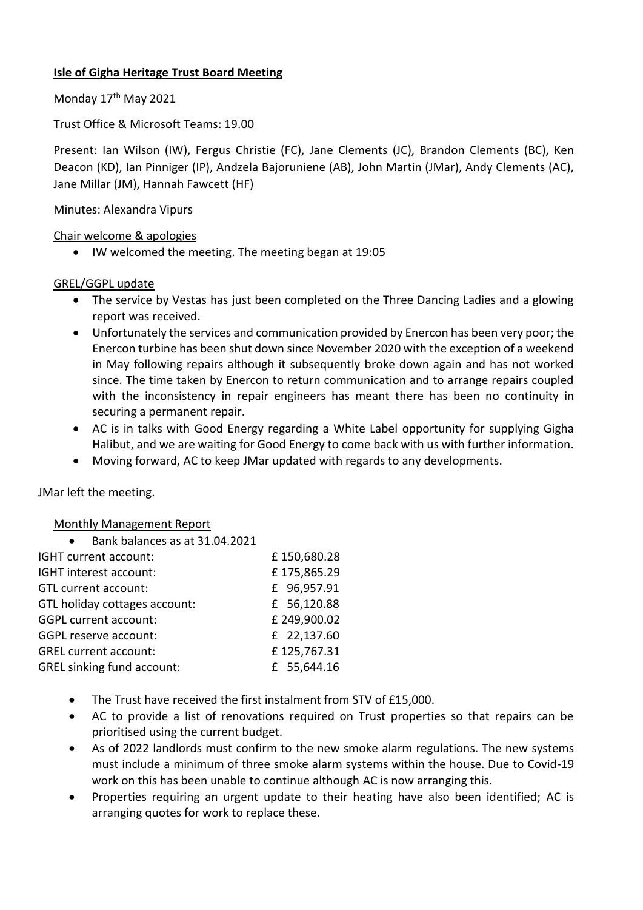## **Isle of Gigha Heritage Trust Board Meeting**

Monday 17<sup>th</sup> May 2021

Trust Office & Microsoft Teams: 19.00

Present: Ian Wilson (IW), Fergus Christie (FC), Jane Clements (JC), Brandon Clements (BC), Ken Deacon (KD), Ian Pinniger (IP), Andzela Bajoruniene (AB), John Martin (JMar), Andy Clements (AC), Jane Millar (JM), Hannah Fawcett (HF)

## Minutes: Alexandra Vipurs

### Chair welcome & apologies

• IW welcomed the meeting. The meeting began at 19:05

## GREL/GGPL update

- The service by Vestas has just been completed on the Three Dancing Ladies and a glowing report was received.
- Unfortunately the services and communication provided by Enercon has been very poor; the Enercon turbine has been shut down since November 2020 with the exception of a weekend in May following repairs although it subsequently broke down again and has not worked since. The time taken by Enercon to return communication and to arrange repairs coupled with the inconsistency in repair engineers has meant there has been no continuity in securing a permanent repair.
- AC is in talks with Good Energy regarding a White Label opportunity for supplying Gigha Halibut, and we are waiting for Good Energy to come back with us with further information.
- Moving forward, AC to keep JMar updated with regards to any developments.

JMar left the meeting.

#### Monthly Management Report

| £150,680.28 |
|-------------|
| £175,865.29 |
| £ 96,957.91 |
| £ 56,120.88 |
| £249,900.02 |
| £ 22,137.60 |
| £125,767.31 |
| £ 55,644.16 |
|             |

- The Trust have received the first instalment from STV of £15,000.
- AC to provide a list of renovations required on Trust properties so that repairs can be prioritised using the current budget.
- As of 2022 landlords must confirm to the new smoke alarm regulations. The new systems must include a minimum of three smoke alarm systems within the house. Due to Covid-19 work on this has been unable to continue although AC is now arranging this.
- Properties requiring an urgent update to their heating have also been identified; AC is arranging quotes for work to replace these.